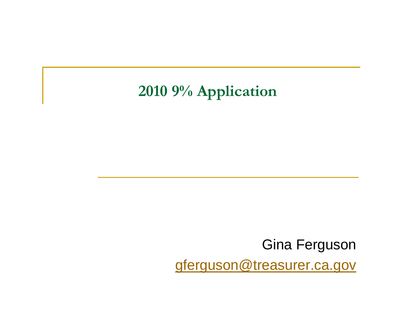#### **2010 9% Application**

Gina Ferguson gferguson@treasurer.ca.gov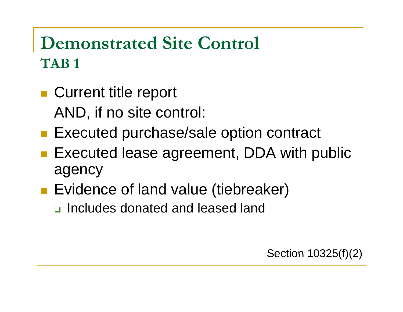## **Demonstrated Site Control TAB 1**

- **Current title report** AND, if no site control:
- **Executed purchase/sale option contract**
- Executed lease agreement, DDA with public a genc y
- **Exidence of land value (tiebreaker)** 
	- □ Includes donated and leased land

Section  $10325(f)(2)$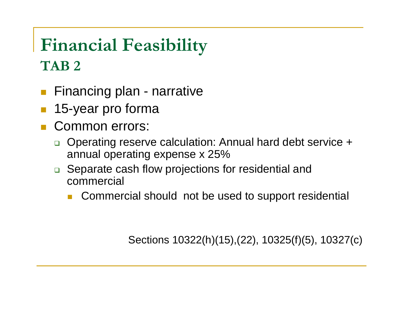## **Financial Feasibility TAB 2**

- $\mathcal{L}_{\mathcal{A}}$ ■ Financing plan - narrative
- $\mathbb{R}^n$ 15-year pro forma
- $\overline{\mathbb{R}^2}$  Common errors:
	- □ Operating reserve calculation: Annual hard debt service + annual operating expense x 25%
	- **□** Separate cash flow projections for residential and commercial
		- × Commercial should not be used to support residential

Sections 10322(h)(15),(22), 10325(f)(5), 10327(c)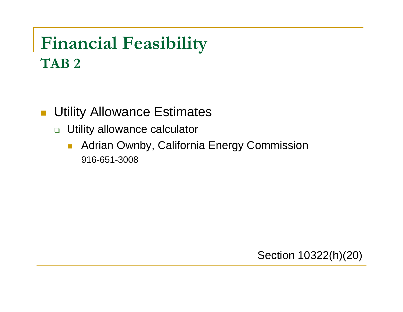## **Financial Feasibility TAB 2**

 $\mathcal{L}_{\mathcal{A}}$ Utility Allowance Estimates

- □ Utility allowance calculator
	- $\overline{\phantom{a}}$  Adrian Ownby, California Energy Commission 916-651-3008

Section 10322(h)(20)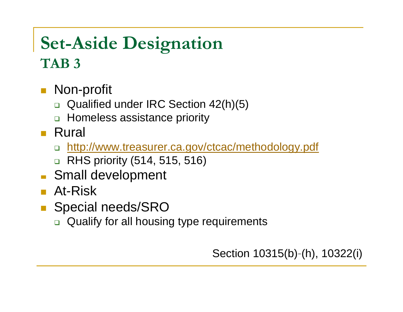## **Set-Aside Designation TAB 3**

- Non-profit
	- □ Qualified under IRC Section 42(h)(5)
	- □ Homeless assistance priority
- Rural
	- □ <u>http://www.treasurer.ca.gov/ctcac/methodology.pdf</u>
	- $\Box$ RHS priority (514, 515, 516)
- **Small development**
- **At-Risk**
- Special needs/SRO
	- □ Qualify for all housing type requirements

Section 10315(b)-(h), 10322(i)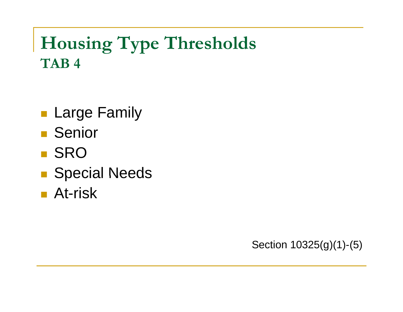## **Housing Type Thresholds TAB 4**

- **Large Family**
- Senior
- **B** SRO
- Special Needs
- **At-risk**

Section 10325(g)(1)-(5)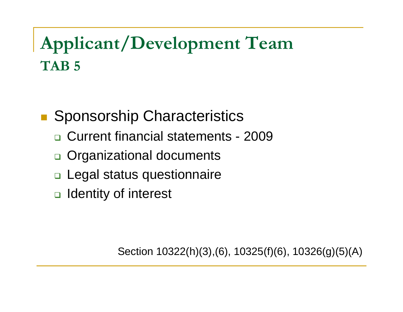## **Applicant/Development Team TAB 5**

 Sponsorship Characteristics

- □ Current financial statements 2009
- □ Organizational documents
- □ Legal status questionnaire
- □ Identity of interest

Section 10322(h)(3),(6), 10325(f)(6), 10326(g)(5)(A)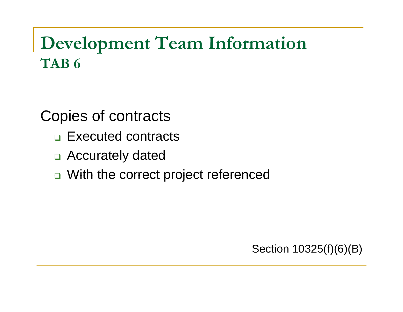## **Development Team Information TAB 6**

Copies of contracts

- $\Box$  Executed contracts
- □ Accurately dated
- □ With the correct project referenced

Section 10325(f)(6)(B)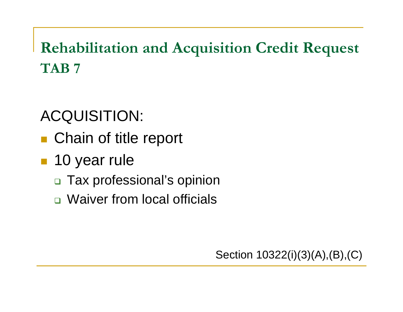**Rehabilitation and Acquisition Credit Request TAB 7** 

#### ACQUISITION:

- Chain of title report
- **10 year rule** 
	- □ Tax professional's opinion
	- Waiver from local officials

Section 10322(i)(3)(A),(B),(C)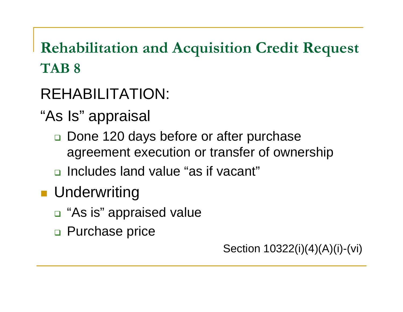## **Rehabilitation and Acquisition Credit Request TAB 8**

## REHABILITATION: REHABILITATION:

- "As Is" appraisal
	- $\Box$  Done 120 days before or after purchase agreement execution or transfer of ownership
	- ncludes land value "as if vacant"

## **L** Underwriting

- $\Box$  "As is" appraised value
- □ Purchase price

Section 10322(i)(4)(A)(i)-(vi)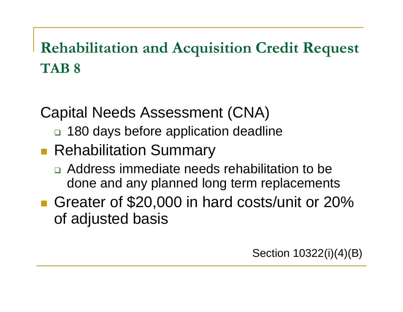## **Rehabilitation and Acquisition Credit Request TAB 8**

Capital Needs Assessment (CNA)

- □ 180 days before application deadline
- **Rehabilitation Summary** 
	- Address immediate needs rehabilitation to be done and any planned long term replacements
- Greater of \$20,000 in hard costs/unit or 20% of adjusted basis

Section 10322(i)(4)(B)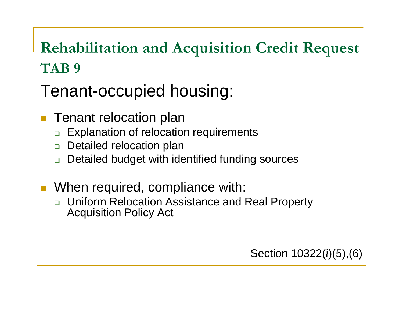## **Rehabilitation and Acquisition Credit Request TAB 9**

Tenant-occu pied housin g:

- **Tenant relocation plan** 
	- $\Box$ □ Explanation of relocation requirements
	- □ Detailed relocation plan
	- $\Box$ Detailed budget with identified funding sources
- **Notainal Median Property** With: **Notain** With:
	- $\Box$  Uniform Relocation Assistance and Real Property **Acquisition Policy Act**

Section 10322(i)(5),(6)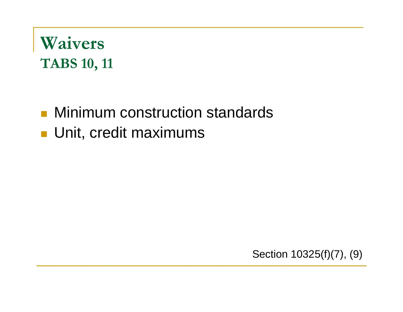## **Waivers TABS 10, 11**

# **Ninimum construction standards**

**Unit, credit maximums** 

Section 10325(f)(7), (9)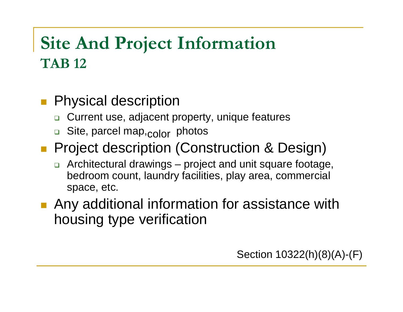## **Site And Project Information TAB 12**

- **Physical description** 
	- ❏ Current use, adjacent property, unique features
	- □ Site, parcel map,<sub>COlOr</sub> photos
- **Project description (Construction & Design)** 
	- $\Box$  Architectural drawings – project and unit square footage, bedroom count, laundry facilities, play area, commercial space, etc.

housing type verification **Any additional information for assistance with** 

Section  $10322(h)(8)(A)$ -(F)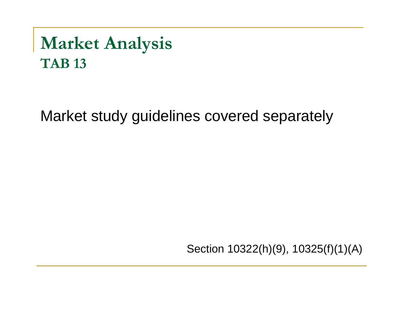## **Market Analysis TAB 13**

Market study guidelines covered separately

Section 10322(h)(9), 10325(f)(1)(A)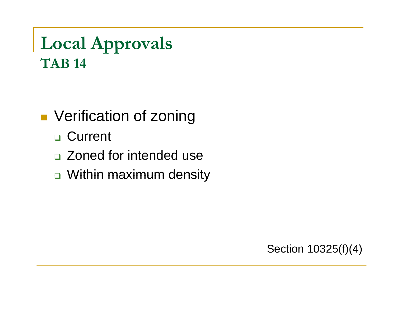**Local Approvals TAB 14** 

**Verification of zoning** 

- □ Current
- □ Zoned for intended use
- $\textcolor{orange}\blacksquare$  Within maximum density

Section  $10325(f)(4)$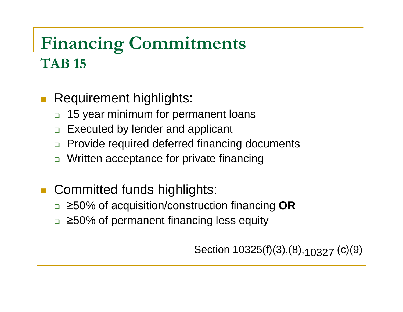## **Financing Commitments TAB 15**

- **Requirement highlights:** 
	- 15 year minimum for permanent loans
	- $\Box$ Executed by lender and applicant
	- $\Box$ Provide required deferred financing documents
	- $\Box$ Written acceptance for private financing
- **Committed funds highlights:** 
	- <sup>≥</sup>50% of acquisition/construction financing **OR**
	- <sup>≥</sup>50% of permanent financing less equity

Section 10325(f)(3),(8),<sub>10327</sub> (c)(9)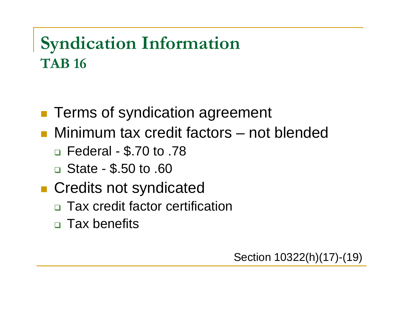## **Syndication Information TAB 16**

- **Terms of syndication agreement**
- Minimum tax credit factors  $-$  not blended
	- □ Federal \$.70 to .78
	- $\Box$  State \$.50 to .60
- **Credits not syndicated** 
	- □ Tax credit factor certification
	- □ Tax benefits

Section 10322(h)(17)-(19)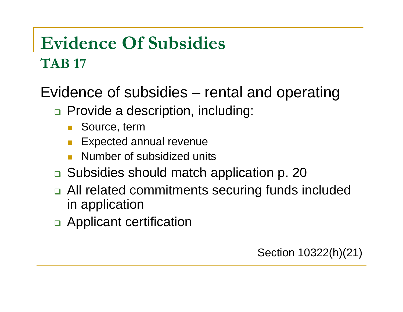## **Evidence Of Subsidies TAB 17**

Evidence of subsidies – rental and operating

- □ Provide a description, including:
	- π Source, term
	- Π Expected annual revenue
	- π Number of subsidized units
- □ Subsidies should match application p. 20
- □ All related commitments securing funds included in application
- □ Applicant certification

Section 10322(h)(21)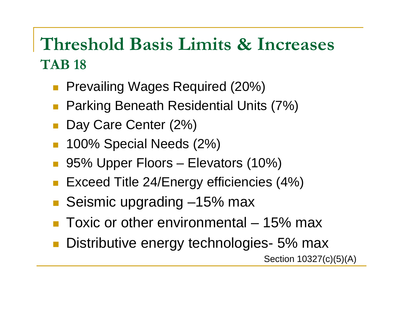## **Threshold Basis Limits & Increases TAB 18**

- $\mathbb{R}^n$ Prevailing Wages Required (20%)
- $\mathbb{R}^n$ Parking Beneath Residential Units (7%)
- $\mathcal{C}^{\mathcal{A}}$ Day Care Center (2%)
- $\mathbb{R}^3$ 100% Special Needs (2%)
- 95% Upper Floors Elevators (10%)
- $\mathbb{R}^n$ Exceed Title 24/Energy efficiencies (4%)
- T. Seismic upgrading –15% max
- Toxic or other environmental 15% max
- Distributive energy technologies- 5% max Section 10327(c)(5)(A)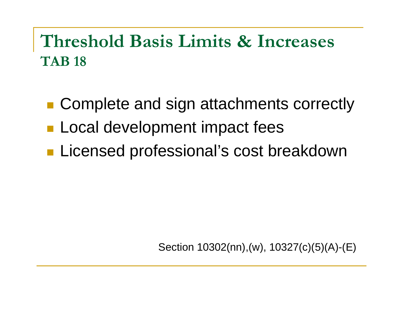## **Threshold Basis Limits & Increases TAB 18**

- Complete and sign attachments correctly
- **Local development impact fees**
- **Licensed professional's cost breakdown**

Section 10302(nn),(w), 10327(c)(5)(A)-(E)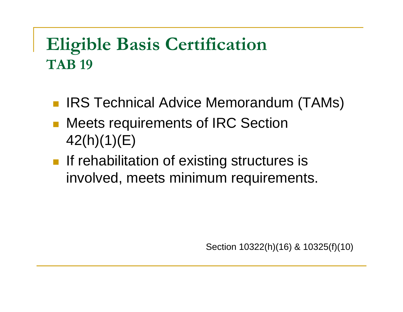## **Eligible Basis Certification TAB 19**

- IRS Technical Advice Memorandum (TAMs)
- $\mathcal{L}_{\mathcal{A}}$  Meets requirements of IRC Section 42(h)(1)(E)
- **If rehabilitation of existing structures is** involved, meets minimum requirements.

Section 10322(h)(16) & 10325(f)(10)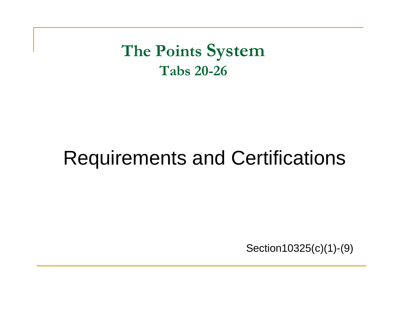**The Points System Tabs 20-26** 

## Requirements and Certifications

Section10325 $(c)$ (1)-(9)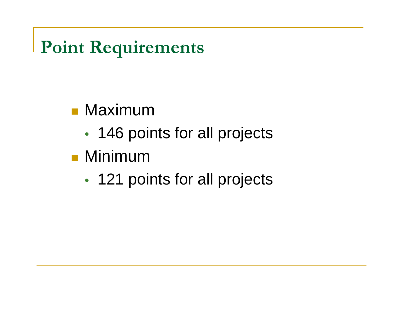**Point Requirements** 

## **■ Maximum**

- 146 points for all projects
- Minimum
	- •• 121 points for all projects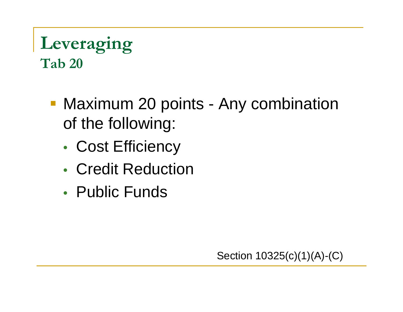## **Leveraging Tab 20**

- **Maximum 20 points Any combination** of the following:
	- Cost Efficiency
	- Credit Reduction
	- Public Funds

Section  $10325(c)(1)(A)-(C)$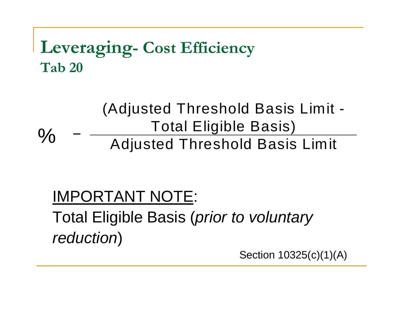## **Leveraging- Cost Efficiency Tab 20**

#### =(Adjusted Threshold Basis Limit - Total Eligible Basis) % - Adjusted Threshold Basis Limit

## IMPORTANT NOTE: Total Eligible Basis ( *prior to voluntary reduction*)

Section  $10325(c)(1)(A)$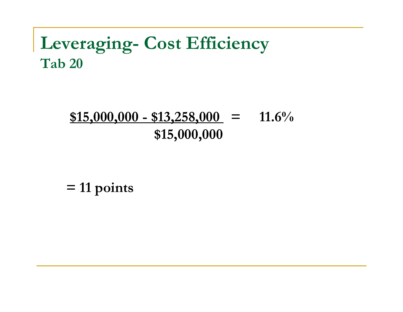#### **Leveraging- Cost Efficiency Tab 20**

#### $$15,000,000 - $13,258,000 = 11.6\%$ **\$15 000 000 \$15 ,000 ,000**

**= 11 points**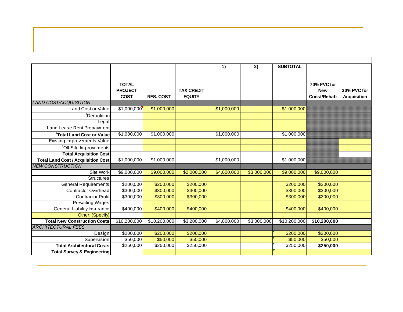|                                                               |                       |                  |                   | 1)          | 2)          | <b>SUBTOTAL</b> |              |                    |
|---------------------------------------------------------------|-----------------------|------------------|-------------------|-------------|-------------|-----------------|--------------|--------------------|
|                                                               |                       |                  |                   |             |             |                 |              |                    |
|                                                               |                       |                  |                   |             |             |                 |              |                    |
|                                                               | <b>TOTAL</b>          |                  |                   |             |             |                 | 70% PVC for  |                    |
|                                                               | <b>PROJECT</b>        |                  | <b>TAX CREDIT</b> |             |             |                 | <b>New</b>   | 30% PVC for        |
| <b>LAND COST/ACQUISITION</b>                                  | <b>COST</b>           | <b>RES. COST</b> | <b>EQUITY</b>     |             |             |                 | Const/Rehab  | <b>Acquisition</b> |
| <b>Land Cost or Value</b>                                     | \$1,000,000           | \$1,000,000      |                   | \$1,000,000 |             | \$1,000,000     |              |                    |
|                                                               |                       |                  |                   |             |             |                 |              |                    |
| <sup>1</sup> Demolition                                       |                       |                  |                   |             |             |                 |              |                    |
| Legal                                                         |                       |                  |                   |             |             |                 |              |                    |
| Land Lease Rent Prepayment                                    | \$1,000,000           | \$1,000,000      |                   | \$1,000,000 |             | \$1,000,000     |              |                    |
| <sup>2</sup> Total Land Cost or Value                         |                       |                  |                   |             |             |                 |              |                    |
| Existing Improvements Value                                   |                       |                  |                   |             |             |                 |              |                    |
| <sup>1</sup> Off-Site Improvements                            |                       |                  |                   |             |             |                 |              |                    |
| <b>Total Acquisition Cost</b>                                 |                       |                  |                   |             |             |                 |              |                    |
| <b>Total Land Cost / Acquisition Cost</b>                     | \$1,000,000           | \$1,000,000      |                   | \$1,000,000 |             | \$1,000,000     |              |                    |
| <b>NEW CONSTRUCTION</b>                                       |                       |                  |                   |             |             |                 |              |                    |
| Site Work                                                     | \$9,000,000           | \$9,000,000      | \$2,000,000       | \$4,000,000 | \$3,000,000 | \$9,000,000     | \$9,000,000  |                    |
| <b>Structures</b>                                             |                       |                  |                   |             |             |                 |              |                    |
| <b>General Requirements</b>                                   | $\overline{$200,000}$ | \$200,000        | \$200,000         |             |             | \$200,000       | \$200,000    |                    |
| Contractor Overhead                                           | \$300,000             | \$300,000        | \$300,000         |             |             | \$300,000       | \$300,000    |                    |
| <b>Contractor Profit</b>                                      | \$300,000             | \$300,000        | \$300,000         |             |             | \$300,000       | \$300,000    |                    |
| <b>Prevailing Wages</b><br><b>General Liability Insurance</b> | \$400,000             | \$400,000        | \$400,000         |             |             | \$400,000       | \$400,000    |                    |
| Other: (Specify)                                              |                       |                  |                   |             |             |                 |              |                    |
| <b>Total New Construction Costs</b>                           | \$10,200,000          | \$10,200,000     | \$3,200,000       | \$4,000,000 | \$3,000,000 | \$10,200,000    | \$10,200,000 |                    |
| <b>ARCHITECTURAL FEES</b>                                     |                       |                  |                   |             |             |                 |              |                    |
| Design                                                        | \$200,000             | \$200,000        | \$200,000         |             |             | \$200,000       | \$200,000    |                    |
| Supervision                                                   | \$50,000              | \$50,000         | \$50,000          |             |             | \$50,000        | \$50,000     |                    |
| <b>Total Architectural Costs</b>                              | \$250,000             | \$250,000        | \$250,000         |             |             | \$250,000       | \$250,000    |                    |
| <b>Total Survey &amp; Engineering</b>                         |                       |                  |                   |             |             |                 |              |                    |
|                                                               |                       |                  |                   |             |             |                 |              |                    |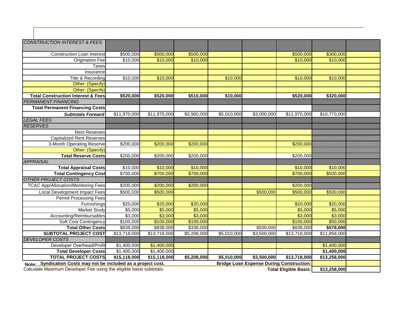| <b>CONSTRUCTION INTEREST &amp; FEES</b>                             |                          |                         |             |             |                                                 |                              |              |  |
|---------------------------------------------------------------------|--------------------------|-------------------------|-------------|-------------|-------------------------------------------------|------------------------------|--------------|--|
|                                                                     |                          |                         |             |             |                                                 |                              |              |  |
| <b>Construction Loan Interest</b>                                   | \$500,000                | \$500,000               | \$500,000   |             |                                                 | \$500,000                    | \$300,000    |  |
| <b>Origination Fee</b>                                              | \$10,000                 | \$10,000                | \$10,000    |             |                                                 | \$10,000                     | \$10,000     |  |
| Taxes                                                               |                          |                         |             |             |                                                 |                              |              |  |
| <b>Insurance</b>                                                    |                          |                         |             |             |                                                 |                              |              |  |
| Title & Recording                                                   | \$10,000                 | \$10,000                |             | \$10,000    |                                                 | \$10,000                     | \$10,000     |  |
| Other: (Specify)                                                    |                          |                         |             |             |                                                 |                              |              |  |
| Other: (Specify)                                                    |                          |                         |             |             |                                                 |                              |              |  |
| <b>Total Construction Interest &amp; Fees</b>                       | \$520,000                | \$520,000               | \$510,000   | \$10,000    |                                                 | \$520,000                    | \$320,000    |  |
| <b>PERMANENT FINANCING</b>                                          |                          |                         |             |             |                                                 |                              |              |  |
| <b>Total Permanent Financing Costs</b>                              |                          |                         |             |             |                                                 |                              |              |  |
| <b>Subtotals Forward</b>                                            | \$11,970,000             | \$11,970,000            | \$3,960,000 | \$5,010,000 | \$3,000,000                                     | \$11,970,000                 | \$10,770,000 |  |
| <b>LEGAL FEES</b>                                                   |                          |                         |             |             |                                                 |                              |              |  |
| <b>RESERVES</b>                                                     |                          |                         |             |             |                                                 |                              |              |  |
| <b>Rent Reserves</b>                                                |                          |                         |             |             |                                                 |                              |              |  |
| <b>Capitalized Rent Reserves</b>                                    |                          |                         |             |             |                                                 |                              |              |  |
| 3-Month Operating Reserve                                           | \$200,000                | \$200,000               | \$200,000   |             |                                                 | \$200,000                    |              |  |
| Other: (Specify)                                                    |                          |                         |             |             |                                                 |                              |              |  |
| <b>Total Reserve Costs</b>                                          | \$200,000                | \$200,000               | \$200,000   |             |                                                 | \$200,000                    |              |  |
| <b>APPRAISAL</b>                                                    |                          |                         |             |             |                                                 |                              |              |  |
| <b>Total Appraisal Costs</b>                                        | \$10,000                 | \$10,000                | \$10,000    |             |                                                 | \$10,000                     | \$10,000     |  |
| <b>Total Contingency Cost</b>                                       | \$700,000                | \$700,000               | \$700,000   |             |                                                 | \$700,000                    | \$500,000    |  |
| <b>OTHER PROJECT COSTS</b>                                          |                          |                         |             |             |                                                 |                              |              |  |
| <b>TCAC App/Allocation/Monitoring Fees</b>                          | \$200,000                | \$200,000               | \$200,000   |             |                                                 | \$200,000                    |              |  |
| Local Development Impact Fees                                       | \$500,000                | \$500,000               |             |             | \$500,000                                       | \$500,000                    | \$500,000    |  |
| <b>Permit Processing Fees</b>                                       |                          |                         |             |             |                                                 |                              |              |  |
| Furnishings                                                         | \$20,000                 | \$20,000                | \$20,000    |             |                                                 | \$20,000                     | \$20,000     |  |
| Market Study                                                        | \$5,000                  | \$5,000                 | \$5,000     |             |                                                 | \$5,000                      | \$5,000      |  |
| Accounting/Reimbursables                                            | \$3,000                  | \$3,000                 | \$3,000     |             |                                                 | \$3,000                      | \$3,000      |  |
| Soft Cost Contingency                                               | $\overline{$100,000}$    | \$100,000               | \$100,000   |             |                                                 | \$100,000                    | \$50,000     |  |
| <b>Total Other Costs</b>                                            | \$838,000                | \$838,000               | \$338,000   |             | \$500,000                                       | \$838,000                    | \$578,000    |  |
| <b>SUBTOTAL PROJECT COST</b>                                        | $\overline{$13,718,000}$ | \$13,718,000            | \$5,208,000 | \$5,010,000 | \$3,500,000                                     | \$13,718,000                 | \$11,858,000 |  |
| <b>DEVELOPER COSTS</b>                                              |                          |                         |             |             |                                                 |                              |              |  |
| Developer Overhead/Profit                                           | \$1,400,000              | \$1,400,000             |             |             |                                                 |                              | \$1,400,000  |  |
| <b>Total Developer Costs</b>                                        | \$1,400,000              | $\overline{$1,400,000}$ |             |             |                                                 |                              | \$1,400,000  |  |
| <b>TOTAL PROJECT COSTS</b>                                          | \$15,118,000             | \$15,118,000            | \$5,208,000 | \$5,010,000 | \$3,500,000                                     | \$13,718,000                 | \$13,258,000 |  |
| Syndication Costs may not be included as a project cost.<br>Note:   |                          |                         |             |             | <b>Bridge Loan Expense During Construction:</b> |                              |              |  |
| Calculate Maximum Developer Fee using the eligible basis subtotals. |                          |                         |             |             |                                                 | <b>Total Eligible Basis:</b> | \$13,258,000 |  |

H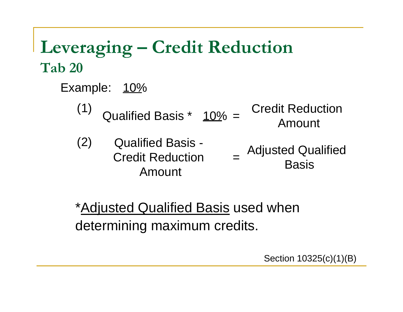## Leveraging – Credit Reduction **Tab 20**

- Example: 10%
	- (1) Qualified Basis  $*$   $\frac{10\%}{5}$  = Credit Reduction
	- (2) Qualified Basis -<br>Credit Reduction = Adjusted Qualified<br>Basis Amount

\*Adjusted Qualified Basis used when determining maximum credits.

Section 10325(c)(1)(B)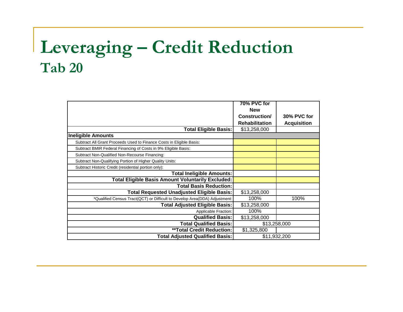## Leveraging – Credit Reduction **Tab 20**

|                                                                            | 70% PVC for           |                    |  |  |
|----------------------------------------------------------------------------|-----------------------|--------------------|--|--|
|                                                                            | <b>New</b>            |                    |  |  |
|                                                                            | Construction/         | 30% PVC for        |  |  |
|                                                                            | <b>Rehabilitation</b> | <b>Acquisition</b> |  |  |
| <b>Total Eligible Basis:</b>                                               | \$13,258,000          |                    |  |  |
| <b>Ineligible Amounts</b>                                                  |                       |                    |  |  |
| Subtract All Grant Proceeds Used to Finance Costs in Eligible Basis:       |                       |                    |  |  |
| Subtract BMIR Federal Financing of Costs in 9% Eligible Basis:             |                       |                    |  |  |
| Subtract Non-Qualified Non-Recourse Financing:                             |                       |                    |  |  |
| Subtract Non-Qualifying Portion of Higher Quality Units:                   |                       |                    |  |  |
| Subtract Historic Credit (residential portion only):                       |                       |                    |  |  |
| <b>Total Ineligible Amounts:</b>                                           |                       |                    |  |  |
| <b>Total Eligible Basis Amount Voluntarily Excluded:</b>                   |                       |                    |  |  |
| <b>Total Basis Reduction:</b>                                              |                       |                    |  |  |
| <b>Total Requested Unadjusted Eligible Basis:</b>                          | \$13,258,000          |                    |  |  |
| *Qualified Census Tract(QCT) or Difficult to Develop Area(DDA) Adjustment: | 100%                  | 100%               |  |  |
| <b>Total Adjusted Eligible Basis:</b>                                      | \$13,258,000          |                    |  |  |
| Applicable Fraction:                                                       | 100%                  |                    |  |  |
| <b>Qualified Basis:</b>                                                    | \$13,258,000          |                    |  |  |
| <b>Total Qualified Basis:</b>                                              | \$13,258,000          |                    |  |  |
| <b>**Total Credit Reduction:</b>                                           | \$1,325,800           |                    |  |  |
| <b>Total Adjusted Qualified Basis:</b>                                     |                       | \$11,932,200       |  |  |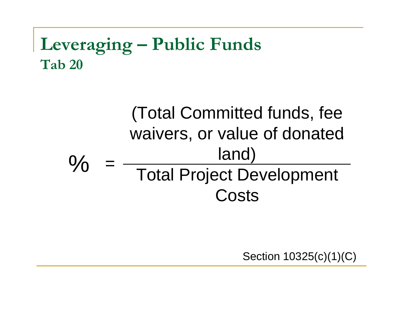## **Leveraging – Public Funds Tab 20**

#### (Total Committed funds, fee waivers, or value of donated land)  $\frac{O}{O}$ Total Project Development **Costs**

Section 10325(c)(1)(C)\_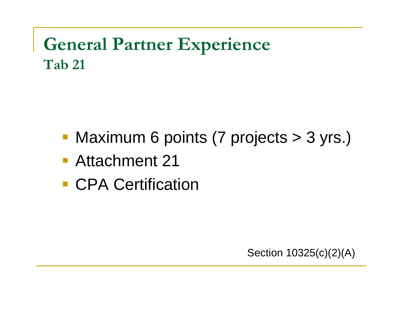## **General Partner Experience Tab 21**

- Maximum 6 points (7 projects > 3 yrs.)
- Attachment 21
- CPA Certification

Section 10325(c)(2)(A)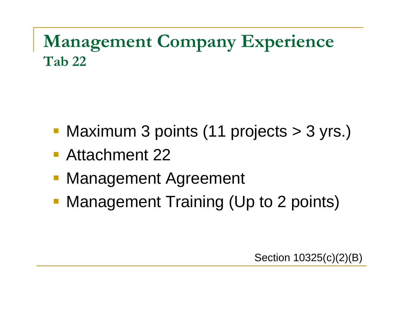## **Management Company Experience T b 22 Tab**

- Maximum 3 points (11 projects > 3 yrs.)
- Attachment 22
- Management Agreement
- **Management Training (Up to 2 points)**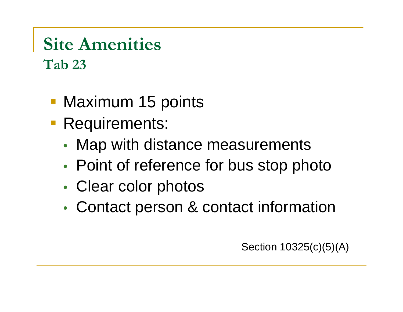## **Site Amenities Tab 23**

- Maximum 15 points
- **Requirements:** 
	- Map with distance measurements
	- Point of reference for bus stop photo
	- Clear color photos
	- Contact person & contact information

Section 10325(c)(5)(A)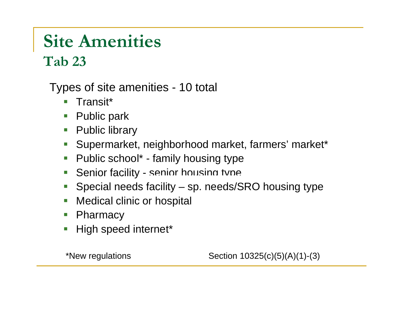## **Site Amenities**

 $Ta**b** 23$ 

Types of site amenities - 10 total

- Transit\*
- Public park
- Public library
- Supermarket, neighborhood market, farmers' market\*
- $\mathcal{L}_{\mathcal{A}}$ Public school\* - family housing type
- Senior facility senior housing type
- Special needs facility sp. needs/SRO housing type
- Medical clinic or hospital
- $\mathcal{L}_{\mathcal{A}}$ **Pharmacy**
- High speed internet\*

\*New regulations  $\qquad \qquad$  Section  $10325(c)(5)(A)(1)-(3)$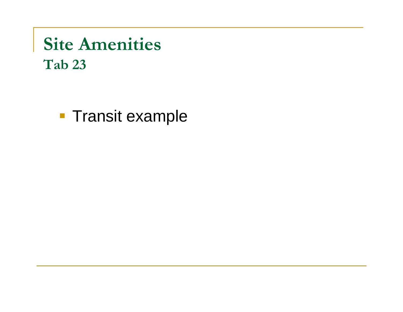## **Site Amenities Tab 23**

**Transit example**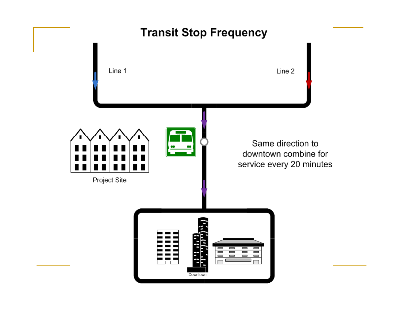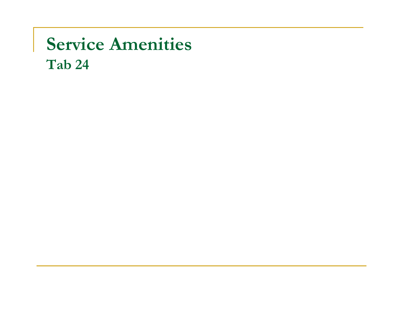## **Service Amenities Tab 24**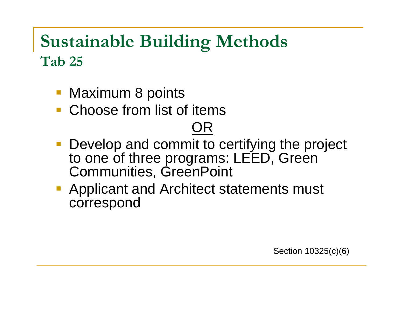## **Sustainable Building Methods**   $\bf{Tab}$  25

- Maximum 8 points
- Choose from list of items

## OR

- Develop and commit to certifying the project to one of three programs: LEED, Green Communities, GreenPoint
- **Applicant and Architect statements must<br>correspond**

Section 10325(c)(6)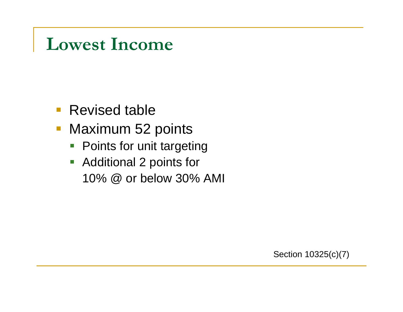## **Lowest Income**

- **Revised table**
- Maximum 52 points
	- **Points for unit targeting**
	- $\overline{\phantom{a}}$  Additional 2 points for 10% @ or below 30% AMI

Section 10325(c)(7)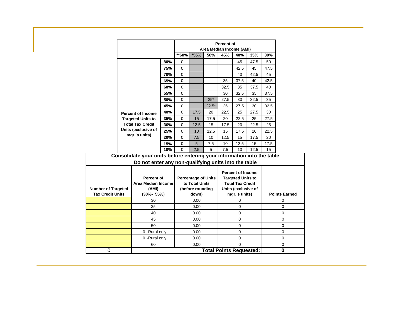|                                                      |  |                                                                                                                                |                                              |                           | <b>Percent of</b><br>Area Median Income (AMI) |                                                                                 |                                      |          |                      |          |  |  |
|------------------------------------------------------|--|--------------------------------------------------------------------------------------------------------------------------------|----------------------------------------------|---------------------------|-----------------------------------------------|---------------------------------------------------------------------------------|--------------------------------------|----------|----------------------|----------|--|--|
|                                                      |  |                                                                                                                                |                                              | **60%                     | *55%                                          | 50%                                                                             | 45%                                  | 40%      | 35%                  | 30%      |  |  |
|                                                      |  |                                                                                                                                | 80%                                          | 0                         |                                               |                                                                                 |                                      | 45       | 47.5                 | 50       |  |  |
|                                                      |  |                                                                                                                                | 75%                                          | 0                         |                                               |                                                                                 |                                      | 42.5     | 45                   | 47.5     |  |  |
|                                                      |  |                                                                                                                                | 70%                                          | 0                         |                                               |                                                                                 |                                      | 40       | 42.5                 | 45       |  |  |
|                                                      |  |                                                                                                                                | 65%                                          | 0                         |                                               |                                                                                 | 35                                   | 37.5     | 40                   | 42.5     |  |  |
|                                                      |  |                                                                                                                                | 60%                                          | 0                         |                                               |                                                                                 | 32.5                                 | 35       | 37.5                 | 40       |  |  |
|                                                      |  |                                                                                                                                | 55%                                          | 0                         |                                               |                                                                                 | 30                                   | 32.5     | 35                   | 37.5     |  |  |
|                                                      |  |                                                                                                                                | 50%                                          | 0                         |                                               | $25*$                                                                           | 27.5                                 | 30       | 32.5                 | 35       |  |  |
|                                                      |  |                                                                                                                                | 45%                                          | 0                         |                                               | $22.5*$                                                                         | 25                                   | 27.5     | 30                   | 32.5     |  |  |
|                                                      |  | <b>Percent of Income</b>                                                                                                       | 40%                                          | 0                         | 17.5                                          | 20                                                                              | 22.5                                 | 25       | 27.5                 | 30       |  |  |
|                                                      |  | <b>Targeted Units to</b>                                                                                                       | 35%                                          | 0                         | 15                                            | 17.5                                                                            | 20                                   | 22.5     | 25                   | 27.5     |  |  |
|                                                      |  | <b>Total Tax Credit</b>                                                                                                        | 30%<br>25%                                   | 0                         | 12.5                                          | 15                                                                              | 17.5                                 | 20       | 22.5                 | 25       |  |  |
|                                                      |  | Units (exclusive of<br>mgr.'s units)                                                                                           |                                              | 0                         | 10                                            | 12.5                                                                            | 15                                   | 17.5     | 20                   | 22.5     |  |  |
|                                                      |  |                                                                                                                                | 20%                                          | 0                         | 7.5                                           | 10                                                                              | 12.5                                 | 15       | 17.5                 | 20       |  |  |
|                                                      |  |                                                                                                                                | 15%                                          | 0                         | 5                                             | 7.5                                                                             | 10                                   | 12.5     | 15                   | 17.5     |  |  |
|                                                      |  |                                                                                                                                | 10%                                          | 0                         | 2.5                                           | 5                                                                               | 7.5                                  | 10       | 12.5                 | 15       |  |  |
|                                                      |  | Consolidate your units before entering your information into the table<br>Do not enter any non-qualifying units into the table |                                              |                           |                                               |                                                                                 |                                      |          |                      |          |  |  |
| Percent of<br><b>Area Median Income</b>              |  |                                                                                                                                | <b>Percentage of Units</b><br>to Total Units |                           |                                               | <b>Percent of Income</b><br><b>Targeted Units to</b><br><b>Total Tax Credit</b> |                                      |          |                      |          |  |  |
| <b>Number of Targeted</b><br><b>Tax Credit Units</b> |  | (AMI)<br>$(30\% - 55\%)$                                                                                                       |                                              | (before rounding<br>down) |                                               |                                                                                 | Units (exclusive of<br>mgr.'s units) |          | <b>Points Earned</b> |          |  |  |
|                                                      |  | 30                                                                                                                             |                                              | 0.00                      |                                               |                                                                                 | 0                                    |          |                      | $\Omega$ |  |  |
|                                                      |  |                                                                                                                                |                                              | 0.00                      |                                               |                                                                                 | 0                                    |          |                      | 0        |  |  |
|                                                      |  | 35<br>40                                                                                                                       |                                              | 0.00                      |                                               | 0                                                                               |                                      | $\Omega$ |                      |          |  |  |
|                                                      |  | 45                                                                                                                             |                                              | 0.00                      |                                               | 0                                                                               |                                      | $\Omega$ |                      |          |  |  |
|                                                      |  | 50                                                                                                                             |                                              | 0.00                      |                                               | 0                                                                               |                                      | 0        |                      |          |  |  |
|                                                      |  | 0 - Rural only                                                                                                                 |                                              | 0.00                      |                                               | $\Omega$                                                                        |                                      | $\Omega$ |                      |          |  |  |
|                                                      |  | 0 - Rural only                                                                                                                 |                                              | 0.00                      |                                               |                                                                                 | 0                                    |          |                      | $\Omega$ |  |  |
|                                                      |  | 60                                                                                                                             |                                              | 0.00                      |                                               | 0                                                                               |                                      | $\Omega$ |                      |          |  |  |
| 0                                                    |  |                                                                                                                                | <b>Total Points Requested:</b><br>$\bf{0}$   |                           |                                               |                                                                                 |                                      |          |                      |          |  |  |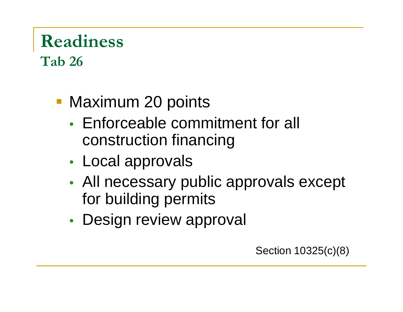### **Readiness T b 26 a**

- Maximum 20 points
	- Enforceable commitment for all construction financing
	- • Local approvals
	- • All necessary public approvals except for building permits
	- Design review approval

Section 10325(c)(8)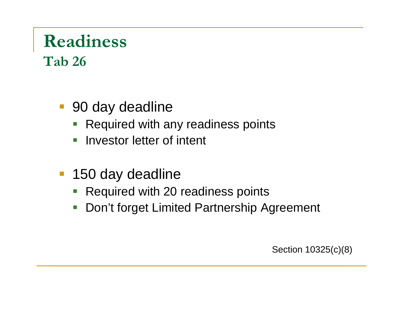# **Readiness**

**T b 26 a** 

- 90 day deadline
	- Required with any readiness points
	- $\blacksquare$  Investor letter of intent
- 150 day deadline
	- Required with 20 readiness points
	- $\overline{\phantom{0}}$ Don't forget Limited Partnership Agreement

Section 10325(c)(8)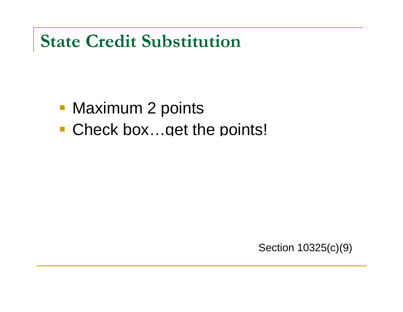## **State Credit Substitution**

- Maximum 2 points
- Check box…get the points!

Section 10325(c)(9)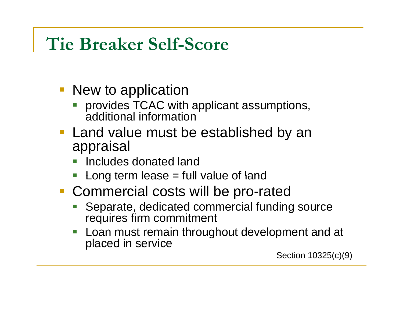## **Tie Breaker Self-Score**

- New to application
	- **PEDECITY PROVIDES TCAC with applicant assumptions,** P. additional information
- $\blacksquare$  Land value must be established by an appraisal
	- P. Includes donated land
	- T. Long term lease = full value of land
- **Commercial costs will be pro-rated** 
	- k. Separate, dedicated commercial funding source requires firm commitment
	- P. Loan must remain throughout development and at placed in service